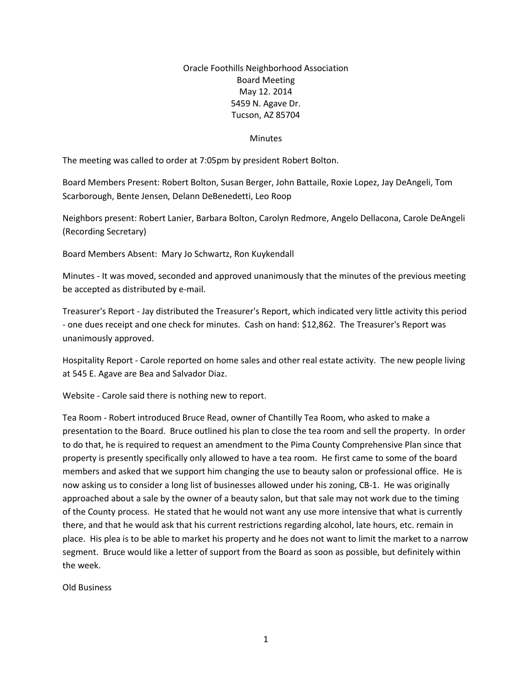## Oracle Foothills Neighborhood Association Board Meeting May 12. 2014 5459 N. Agave Dr. Tucson, AZ 85704

## **Minutes**

The meeting was called to order at 7:05pm by president Robert Bolton.

Board Members Present: Robert Bolton, Susan Berger, John Battaile, Roxie Lopez, Jay DeAngeli, Tom Scarborough, Bente Jensen, Delann DeBenedetti, Leo Roop

Neighbors present: Robert Lanier, Barbara Bolton, Carolyn Redmore, Angelo Dellacona, Carole DeAngeli (Recording Secretary)

Board Members Absent: Mary Jo Schwartz, Ron Kuykendall

Minutes - It was moved, seconded and approved unanimously that the minutes of the previous meeting be accepted as distributed by e-mail.

Treasurer's Report - Jay distributed the Treasurer's Report, which indicated very little activity this period - one dues receipt and one check for minutes. Cash on hand: \$12,862. The Treasurer's Report was unanimously approved.

Hospitality Report - Carole reported on home sales and other real estate activity. The new people living at 545 E. Agave are Bea and Salvador Diaz.

Website - Carole said there is nothing new to report.

Tea Room - Robert introduced Bruce Read, owner of Chantilly Tea Room, who asked to make a presentation to the Board. Bruce outlined his plan to close the tea room and sell the property. In order to do that, he is required to request an amendment to the Pima County Comprehensive Plan since that property is presently specifically only allowed to have a tea room. He first came to some of the board members and asked that we support him changing the use to beauty salon or professional office. He is now asking us to consider a long list of businesses allowed under his zoning, CB-1. He was originally approached about a sale by the owner of a beauty salon, but that sale may not work due to the timing of the County process. He stated that he would not want any use more intensive that what is currently there, and that he would ask that his current restrictions regarding alcohol, late hours, etc. remain in place. His plea is to be able to market his property and he does not want to limit the market to a narrow segment. Bruce would like a letter of support from the Board as soon as possible, but definitely within the week.

Old Business